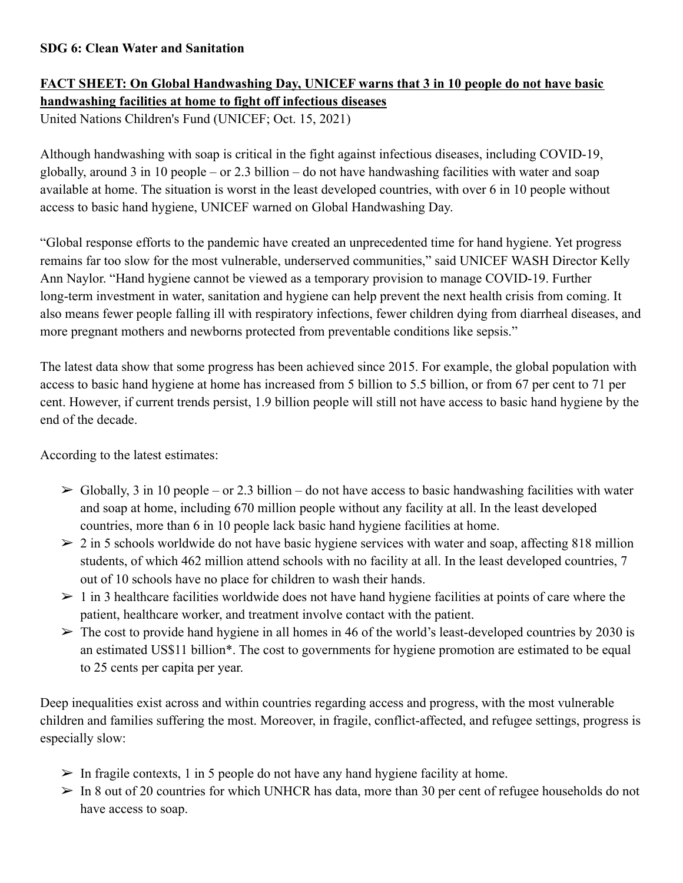## **SDG 6: Clean Water and Sanitation**

## **FACT SHEET: On Global Handwashing Day, UNICEF warns that 3 in 10 people do not have basic handwashing facilities at home to fight off infectious diseases**

United Nations Children's Fund (UNICEF; Oct. 15, 2021)

Although handwashing with soap is critical in the fight against infectious diseases, including COVID-19, globally, around 3 in 10 people – or 2.3 billion – do not have handwashing facilities with water and soap available at home. The situation is worst in the least developed countries, with over 6 in 10 people without access to basic hand hygiene, UNICEF warned on Global Handwashing Day.

"Global response efforts to the pandemic have created an unprecedented time for hand hygiene. Yet progress remains far too slow for the most vulnerable, underserved communities," said UNICEF WASH Director Kelly Ann Naylor. "Hand hygiene cannot be viewed as a temporary provision to manage COVID-19. Further long-term investment in water, sanitation and hygiene can help prevent the next health crisis from coming. It also means fewer people falling ill with respiratory infections, fewer children dying from diarrheal diseases, and more pregnant mothers and newborns protected from preventable conditions like sepsis."

The latest data show that some progress has been achieved since 2015. For example, the global population with access to basic hand hygiene at home has increased from 5 billion to 5.5 billion, or from 67 per cent to 71 per cent. However, if current trends persist, 1.9 billion people will still not have access to basic hand hygiene by the end of the decade.

According to the latest estimates:

- $\triangleright$  Globally, 3 in 10 people or 2.3 billion do not have access to basic handwashing facilities with water and soap at home, including 670 million people without any facility at all. In the least developed countries, more than 6 in 10 people lack basic hand hygiene facilities at home.
- $\geq 2$  in 5 schools worldwide do not have basic hygiene services with water and soap, affecting 818 million students, of which 462 million attend schools with no facility at all. In the least developed countries, 7 out of 10 schools have no place for children to wash their hands.
- $> 1$  in 3 healthcare facilities worldwide does not have hand hygiene facilities at points of care where the patient, healthcare worker, and treatment involve contact with the patient.
- $\triangleright$  The cost to provide hand hygiene in all homes in 46 of the world's least-developed countries by 2030 is an estimated US\$11 billion\*. The cost to governments for hygiene promotion are estimated to be equal to 25 cents per capita per year.

Deep inequalities exist across and within countries regarding access and progress, with the most vulnerable children and families suffering the most. Moreover, in fragile, conflict-affected, and refugee settings, progress is especially slow:

- $\triangleright$  In fragile contexts, 1 in 5 people do not have any hand hygiene facility at home.
- $>$  In 8 out of 20 countries for which UNHCR has data, more than 30 per cent of refugee households do not have access to soap.